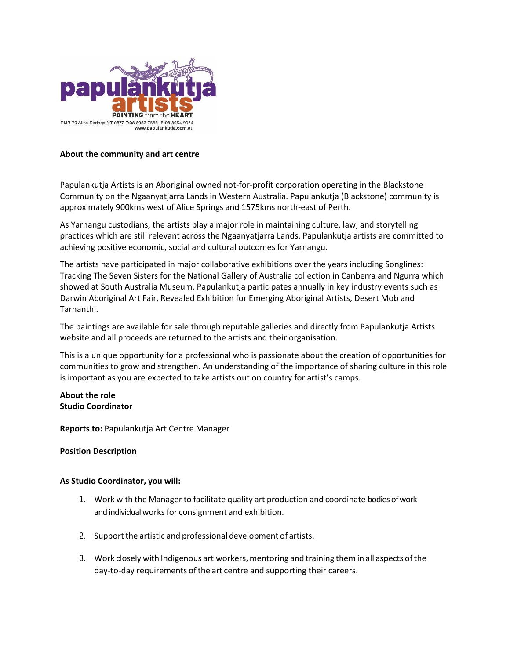

## **About the community and art centre**

Papulankutja Artists is an Aboriginal owned not-for-profit corporation operating in the Blackstone Community on the Ngaanyatjarra Lands in Western Australia. Papulankutja (Blackstone) community is approximately 900kms west of Alice Springs and 1575kms north-east of Perth.

As Yarnangu custodians, the artists play a major role in maintaining culture, law, and storytelling practices which are still relevant across the Ngaanyatjarra Lands. Papulankutja artists are committed to achieving positive economic, social and cultural outcomes for Yarnangu.

The artists have participated in major collaborative exhibitions over the years including Songlines: Tracking The Seven Sisters for the National Gallery of Australia collection in Canberra and Ngurra which showed at South Australia Museum. Papulankutja participates annually in key industry events such as Darwin Aboriginal Art Fair, Revealed Exhibition for Emerging Aboriginal Artists, Desert Mob and Tarnanthi.

The paintings are available for sale through reputable galleries and directly from Papulankutja Artists website and all proceeds are returned to the artists and their organisation.

This is a unique opportunity for a professional who is passionate about the creation of opportunities for communities to grow and strengthen. An understanding of the importance of sharing culture in this role is important as you are expected to take artists out on country for artist's camps.

# **About the role Studio Coordinator**

**Reports to:** Papulankutja Art Centre Manager

#### **Position Description**

#### **As Studio Coordinator, you will:**

- 1. Work with the Manager to facilitate quality art production and coordinate bodies of work and individual works for consignment and exhibition.
- 2. Support the artistic and professional development of artists.
- 3. Work closely with Indigenous art workers, mentoring and training them in all aspects of the day-to-day requirements ofthe art centre and supporting their careers.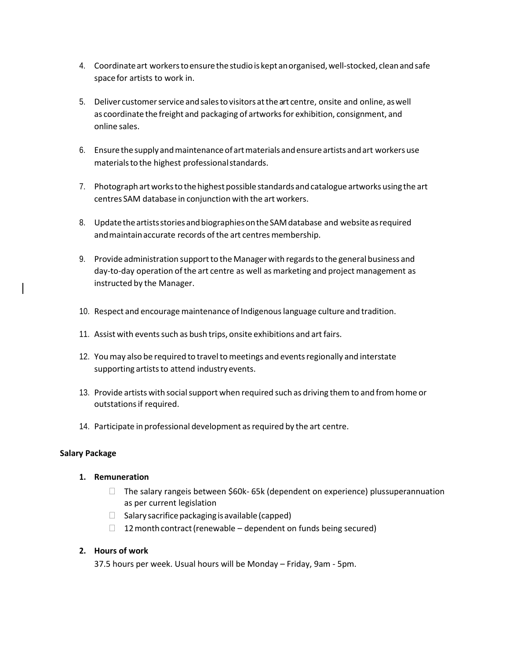- 4. Coordinateart workerstoensurethestudiois kept anorganised,well-stocked, cleanandsafe spacefor artists to work in.
- 5. Deliver customer service and sales to visitors at the art centre, onsite and online, as well as coordinate the freight and packaging of artworks for exhibition, consignment, and online sales.
- 6. Ensurethe supply andmaintenanceofartmaterials andensureartists andart workers use materials to the highest professional standards.
- 7. Photograph art works to the highest possible standards and catalogue artworks using the art centres SAM database in conjunction with the art workers.
- 8. Update the artists stories and biographies on the SAM database and website as required and maintain accurate records of the art centres membership.
- 9. Provide administration supportto theManagerwith regardsto the general business and day-to-day operation ofthe art centre as well as marketing and project management as instructed by the Manager.
- 10. Respect and encourage maintenance of Indigenous language culture and tradition.
- 11. Assist with events such as bush trips, onsite exhibitions and art fairs.
- 12. Youmay also be required to traveltomeetings and eventsregionally and interstate supporting artists to attend industry events.
- 13. Provide artists with social support when required such as driving them to and from home or outstations if required.
- 14. Participate in professional development as required by the art centre.

#### **Salary Package**

#### **1. Remuneration**

- $\Box$  The salary rangeis between \$60k- 65k (dependent on experience) plus superannuation as per current legislation
- $\Box$  Salary sacrifice packaging is available (capped)
- $\Box$  12 month contract (renewable dependent on funds being secured)

#### **2. Hours of work**

37.5 hours per week. Usual hours will be Monday – Friday, 9am - 5pm.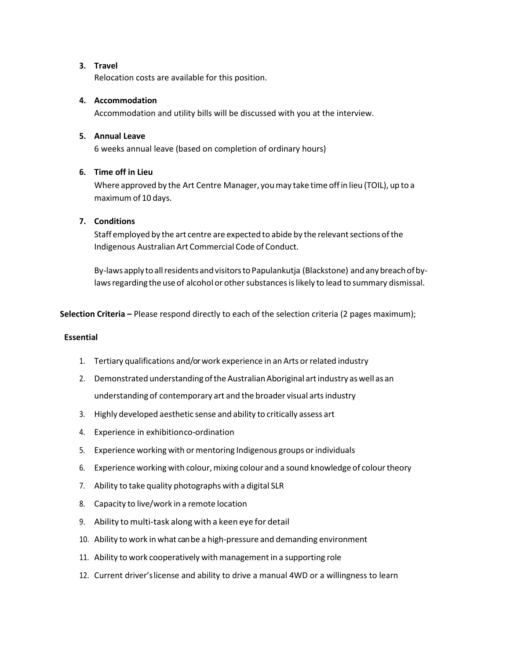## **3. Travel**

Relocation costs are available for this position.

## **4. Accommodation**

Accommodation and utility bills will be discussed with you at the interview.

## **5. Annual Leave**

6 weeks annual leave (based on completion of ordinary hours)

# **6. Time off in Lieu**

Where approved by the Art Centre Manager, youmay take time offin lieu (TOIL), up to a maximum of 10 days.

# **7. Conditions**

Staff employed by the art centre are expected to abide by the relevant sections of the Indigenous Australian Art Commercial Code of Conduct.

By-laws apply to all residents and visitors to Papulankutja (Blackstone) and any breach of bylaws regarding the use of alcohol or other substances is likely to lead to summary dismissal.

**Selection Criteria –** Please respond directly to each of the selection criteria (2 pages maximum);

#### **Essential**

- 1. Tertiary qualifications and/orwork experience in an Arts orrelated industry
- 2. Demonstrated understanding of the Australian Aboriginal artindustry as well as an understanding of contemporary art and the broader visual artsindustry
- 3. Highly developed aesthetic sense and ability to critically assess art
- 4. Experience in exhibitionco-ordination
- 5. Experience working with or mentoring Indigenous groups or individuals
- 6. Experience working with colour,mixing colour and a sound knowledge of colourtheory
- 7. Ability to take quality photographs with a digital SLR
- 8. Capacity to live/work in a remote location
- 9. Ability to multi-task along with a keen eye for detail
- 10. Ability to work in what can be a high-pressure and demanding environment
- 11. Ability to work cooperatively with management in a supporting role
- 12. Current driver'slicense and ability to drive a manual 4WD or a willingness to learn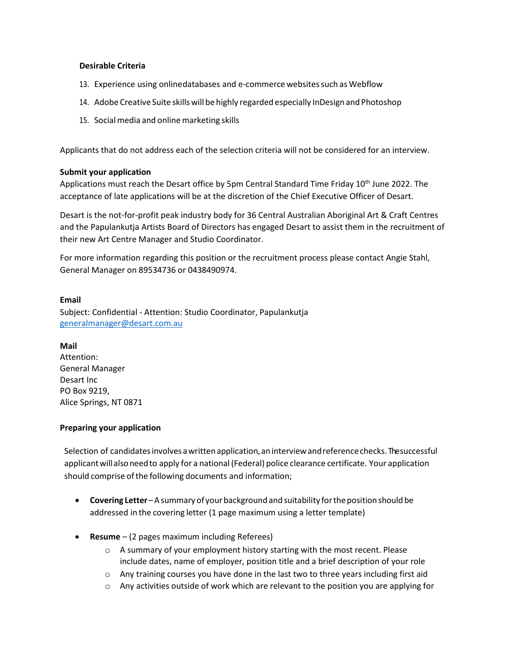#### **Desirable Criteria**

- 13. Experience using onlinedatabases and e-commerce websites such as Webflow
- 14. Adobe Creative Suite skillswill be highly regarded especially InDesign and Photoshop
- 15. Social media and online marketing skills

Applicants that do not address each of the selection criteria will not be considered for an interview.

#### **Submit your application**

Applications must reach the Desart office by 5pm Central Standard Time Friday 10<sup>th</sup> June 2022. The acceptance of late applications will be at the discretion of the Chief Executive Officer of Desart.

Desart is the not-for-profit peak industry body for 36 Central Australian Aboriginal Art & Craft Centres and the Papulankutja Artists Board of Directors has engaged Desart to assist them in the recruitment of their new Art Centre Manager and Studio Coordinator.

For more information regarding this position or the recruitment process please contact Angie Stahl, General Manager on 89534736 or 0438490974.

#### **Email**

Subject: Confidential - Attention: Studio Coordinator, Papulankutja [generalmanager@desart.com.au](mailto:generalmanager@desart.com.au)

#### **Mail**

Attention: General Manager Desart Inc PO Box 9219, Alice Springs, NT 0871

#### **Preparing your application**

Selection of candidates involves a written application, an interview and reference checks. The successful applicantwillalsoneedto apply for a national(Federal) police clearance certificate. Your application should comprise of the following documents and information;

- **Covering Letter** A summary of your background and suitability for the position should be addressed in the covering letter (1 page maximum using a letter template)
- **Resume**  (2 pages maximum including Referees)
	- $\circ$  A summary of your employment history starting with the most recent. Please include dates, name of employer, position title and a brief description of your role
	- o Any training courses you have done in the last two to three years including first aid
	- $\circ$  Any activities outside of work which are relevant to the position you are applying for